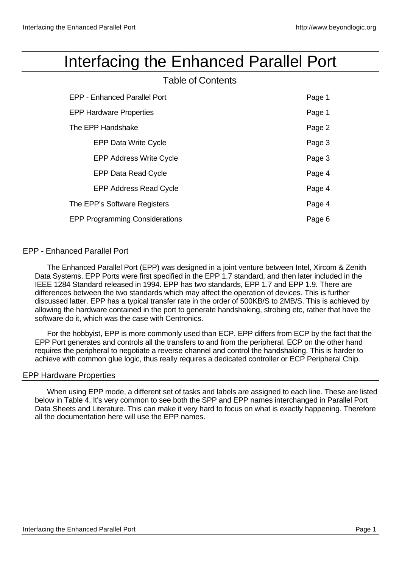# Interfacing the Enhanced Parallel Port

# Table of Contents

| Page 1 |
|--------|
| Page 1 |
| Page 2 |
| Page 3 |
| Page 3 |
| Page 4 |
| Page 4 |
| Page 4 |
| Page 6 |
|        |

# EPP - Enhanced Parallel Port

The Enhanced Parallel Port (EPP) was designed in a joint venture between Intel, Xircom & Zenith Data Systems. EPP Ports were first specified in the EPP 1.7 standard, and then later included in the IEEE 1284 Standard released in 1994. EPP has two standards, EPP 1.7 and EPP 1.9. There are differences between the two standards which may affect the operation of devices. This is further discussed latter. EPP has a typical transfer rate in the order of 500KB/S to 2MB/S. This is achieved by allowing the hardware contained in the port to generate handshaking, strobing etc, rather that have the software do it, which was the case with Centronics.

For the hobbyist, EPP is more commonly used than ECP. EPP differs from ECP by the fact that the EPP Port generates and controls all the transfers to and from the peripheral. ECP on the other hand requires the peripheral to negotiate a reverse channel and control the handshaking. This is harder to achieve with common glue logic, thus really requires a dedicated controller or ECP Peripheral Chip.

# EPP Hardware Properties

When using EPP mode, a different set of tasks and labels are assigned to each line. These are listed below in Table 4. It's very common to see both the SPP and EPP names interchanged in Parallel Port Data Sheets and Literature. This can make it very hard to focus on what is exactly happening. Therefore all the documentation here will use the EPP names.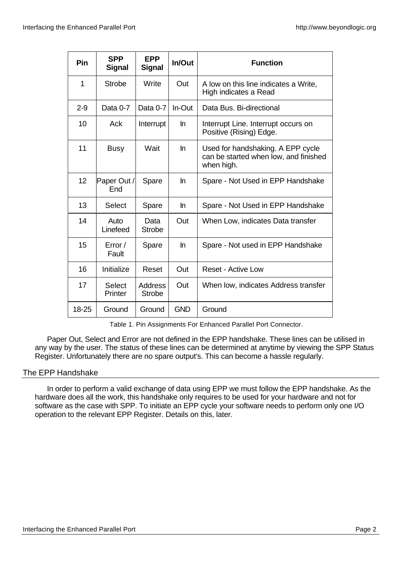| Pin     | <b>SPP</b><br><b>Signal</b> | <b>EPP</b><br><b>Signal</b> | In/Out     | <b>Function</b>                                                                          |  |
|---------|-----------------------------|-----------------------------|------------|------------------------------------------------------------------------------------------|--|
| 1       | <b>Strobe</b>               | Write                       | Out        | A low on this line indicates a Write,<br>High indicates a Read                           |  |
| $2 - 9$ | Data 0-7                    | Data 0-7                    | In-Out     | Data Bus, Bi-directional                                                                 |  |
| 10      | Ack                         | Interrupt                   | In.        | Interrupt Line. Interrupt occurs on<br>Positive (Rising) Edge.                           |  |
| 11      | <b>Busy</b>                 | Wait                        | In.        | Used for handshaking. A EPP cycle<br>can be started when low, and finished<br>when high. |  |
| 12      | Paper Out /<br>End          | Spare                       | $\ln$      | Spare - Not Used in EPP Handshake                                                        |  |
| 13      | Select                      | Spare                       | In.        | Spare - Not Used in EPP Handshake                                                        |  |
| 14      | Auto<br>Linefeed            | Data<br><b>Strobe</b>       | Out        | When Low, indicates Data transfer                                                        |  |
| 15      | Error /<br>Fault            | Spare                       | In.        | Spare - Not used in EPP Handshake                                                        |  |
| 16      | Initialize                  | Reset                       | Out        | <b>Reset - Active Low</b>                                                                |  |
| 17      | <b>Select</b><br>Printer    | Address<br><b>Strobe</b>    | Out        | When low, indicates Address transfer                                                     |  |
| 18-25   | Ground                      | Ground                      | <b>GND</b> | Ground                                                                                   |  |

Table 1. Pin Assignments For Enhanced Parallel Port Connector.

Paper Out, Select and Error are not defined in the EPP handshake. These lines can be utilised in any way by the user. The status of these lines can be determined at anytime by viewing the SPP Status Register. Unfortunately there are no spare output's. This can become a hassle regularly.

# The EPP Handshake

In order to perform a valid exchange of data using EPP we must follow the EPP handshake. As the hardware does all the work, this handshake only requires to be used for your hardware and not for software as the case with SPP. To initiate an EPP cycle your software needs to perform only one I/O operation to the relevant EPP Register. Details on this, later.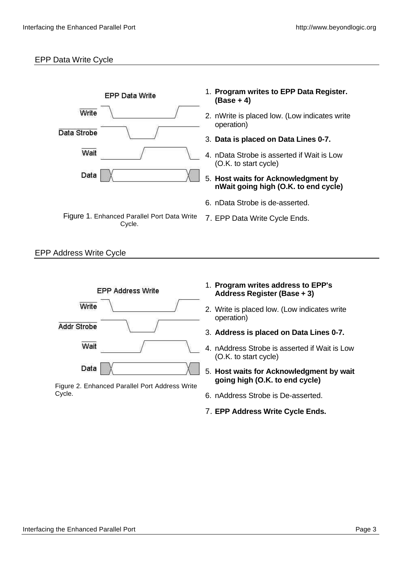# EPP Data Write Cycle

| <b>EPP Data Write</b>                                 | 1. Program writes to EPP Data Register.<br>(Base + 4)                                                                                              |
|-------------------------------------------------------|----------------------------------------------------------------------------------------------------------------------------------------------------|
| Write<br>Data Strobe                                  | 2. nWrite is placed low. (Low indicates write<br>operation)<br>3. Data is placed on Data Lines 0-7.                                                |
| Wait<br>Data                                          | 4. nData Strobe is asserted if Wait is Low<br>(O.K. to start cycle)<br>5. Host waits for Acknowledgment by<br>nWait going high (O.K. to end cycle) |
| Figure 1. Enhanced Parallel Port Data Write<br>Cycle. | 6. nData Strobe is de-asserted.<br>7. EPP Data Write Cycle Ends.                                                                                   |

#### EPP Address Write Cycle



Figure 2. Enhanced Parallel Port Address Write Cycle.

- 1. **Program writes address to EPP's Address Register (Base + 3)**
- 2. Write is placed low. (Low indicates write operation)
- 3. **Address is placed on Data Lines 0-7.**
- 4. nAddress Strobe is asserted if Wait is Low (O.K. to start cycle)
- 5. **Host waits for Acknowledgment by wait going high (O.K. to end cycle)**
- 6. nAddress Strobe is De-asserted.
- 7. **EPP Address Write Cycle Ends.**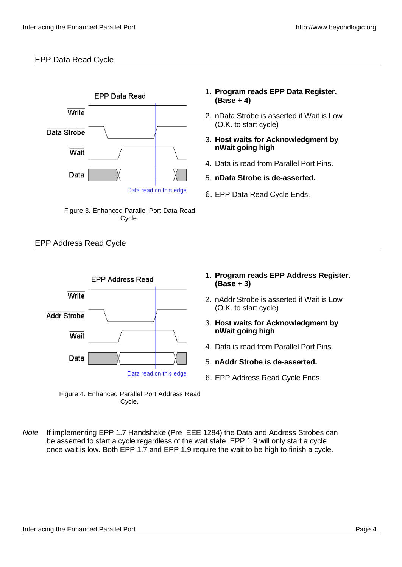#### EPP Data Read Cycle



Figure 3. Enhanced Parallel Port Data Read Cycle.

#### EPP Address Read Cycle



Figure 4. Enhanced Parallel Port Address Read Cycle.

- 1. **Program reads EPP Data Register. (Base + 4)**
- 2. nData Strobe is asserted if Wait is Low (O.K. to start cycle)
- 3. **Host waits for Acknowledgment by nWait going high**
- 4. Data is read from Parallel Port Pins.
- 5. **nData Strobe is de-asserted.**
- 6. EPP Data Read Cycle Ends.

- 1. **Program reads EPP Address Register. (Base + 3)**
- 2. nAddr Strobe is asserted if Wait is Low (O.K. to start cycle)
- 3. **Host waits for Acknowledgment by nWait going high**
- 4. Data is read from Parallel Port Pins.
- 5. **nAddr Strobe is de-asserted.**
- 6. EPP Address Read Cycle Ends.
- *Note* If implementing EPP 1.7 Handshake (Pre IEEE 1284) the Data and Address Strobes can be asserted to start a cycle regardless of the wait state. EPP 1.9 will only start a cycle once wait is low. Both EPP 1.7 and EPP 1.9 require the wait to be high to finish a cycle.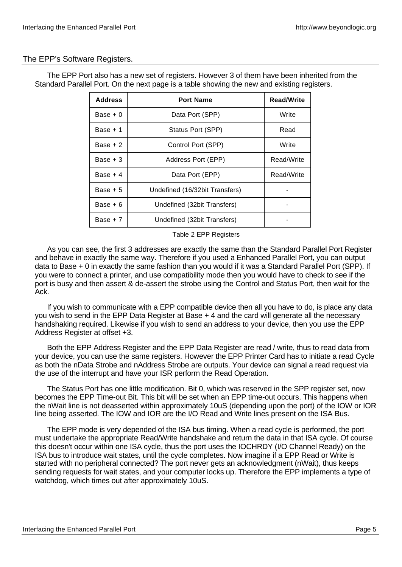#### The EPP's Software Registers.

The EPP Port also has a new set of registers. However 3 of them have been inherited from the Standard Parallel Port. On the next page is a table showing the new and existing registers.

| <b>Address</b> | <b>Port Name</b>               | <b>Read/Write</b> |  |
|----------------|--------------------------------|-------------------|--|
| Base $+0$      | Data Port (SPP)                | Write             |  |
| Base + 1       | Status Port (SPP)              | Read              |  |
| Base + 2       | Control Port (SPP)             | Write             |  |
| $Base + 3$     | Address Port (EPP)             | Read/Write        |  |
| Base $+4$      | Data Port (EPP)                | Read/Write        |  |
| Base $+5$      | Undefined (16/32bit Transfers) |                   |  |
| Base $+6$      | Undefined (32bit Transfers)    |                   |  |
| Base + 7       | Undefined (32bit Transfers)    |                   |  |

Table 2 EPP Registers

As you can see, the first 3 addresses are exactly the same than the Standard Parallel Port Register and behave in exactly the same way. Therefore if you used a Enhanced Parallel Port, you can output data to Base + 0 in exactly the same fashion than you would if it was a Standard Parallel Port (SPP). If you were to connect a printer, and use compatibility mode then you would have to check to see if the port is busy and then assert & de-assert the strobe using the Control and Status Port, then wait for the Ack.

If you wish to communicate with a EPP compatible device then all you have to do, is place any data you wish to send in the EPP Data Register at Base + 4 and the card will generate all the necessary handshaking required. Likewise if you wish to send an address to your device, then you use the EPP Address Register at offset +3.

Both the EPP Address Register and the EPP Data Register are read / write, thus to read data from your device, you can use the same registers. However the EPP Printer Card has to initiate a read Cycle as both the nData Strobe and nAddress Strobe are outputs. Your device can signal a read request via the use of the interrupt and have your ISR perform the Read Operation.

The Status Port has one little modification. Bit 0, which was reserved in the SPP register set, now becomes the EPP Time-out Bit. This bit will be set when an EPP time-out occurs. This happens when the nWait line is not deasserted within approximately 10uS (depending upon the port) of the IOW or IOR line being asserted. The IOW and IOR are the I/O Read and Write lines present on the ISA Bus.

The EPP mode is very depended of the ISA bus timing. When a read cycle is performed, the port must undertake the appropriate Read/Write handshake and return the data in that ISA cycle. Of course this doesn't occur within one ISA cycle, thus the port uses the IOCHRDY (I/O Channel Ready) on the ISA bus to introduce wait states, until the cycle completes. Now imagine if a EPP Read or Write is started with no peripheral connected? The port never gets an acknowledgment (nWait), thus keeps sending requests for wait states, and your computer locks up. Therefore the EPP implements a type of watchdog, which times out after approximately 10uS.